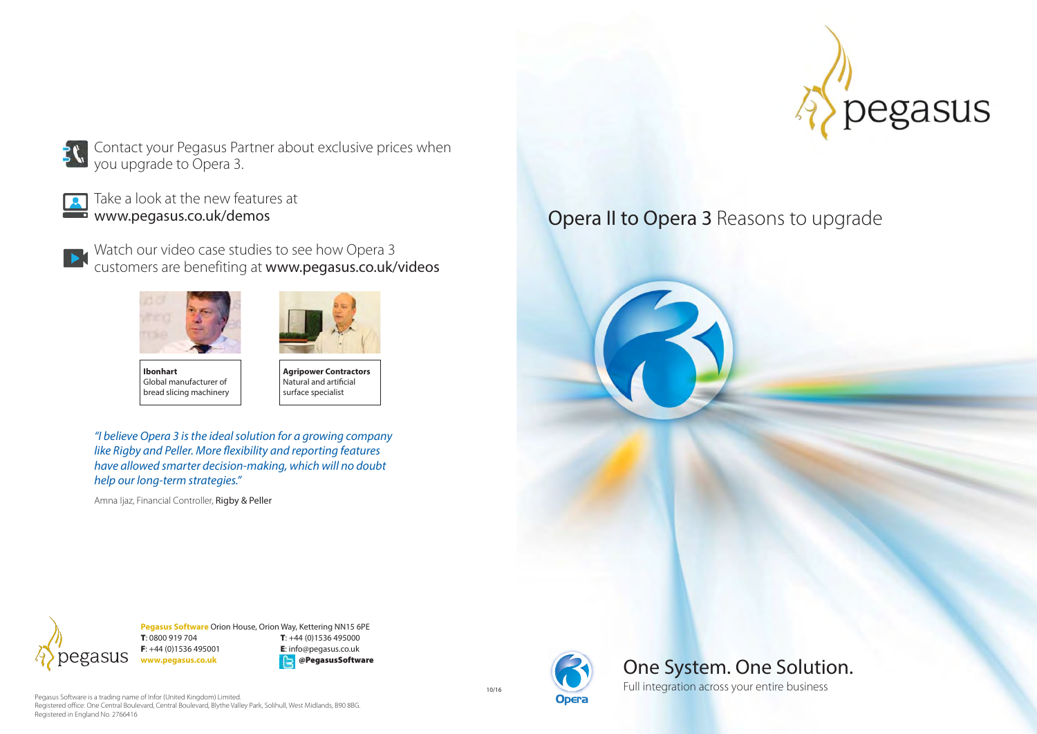

Contact your Pegasus Partner about exclusive prices when you upgrade to Opera 3.



Take a look at the new features at www.pegasus.co.uk/demos

Watch our video case studies to see how Opera 3 customers are benefiting at **www.pegasus.co.uk/videos** 





**Ibonhart** Global manufacturer of bread slicing machinery

**Agripower Contractors** Natural and artificial surface specialist

"I believe Opera 3 is the ideal solution for a growing company like Rigby and Peller. More flexibility and reporting features have allowed smarter decision-making, which will no doubt help our long-term strategies."

Amna Ijaz, Financial Controller, Rigby & Peller





**Pegasus Software** Orion House, Orion Way, Kettering NN15 6PE **T**: 0800 919 704 **T**: +44 (0)1536 495000 **F**: +44 (0)1536 495001 **E**: info@pegasus.co.uk **www.pegasus.co.uk @PegasusSoftware**

Pegasus Software is a trading name of Infor (United Kingdom) Limited. Registered office: One Central Boulevard, Central Boulevard, Blythe Valley Park, Solihull, West Midlands, B90 8BG. Registered in England No. 2766416

10/16





Full integration across your entire business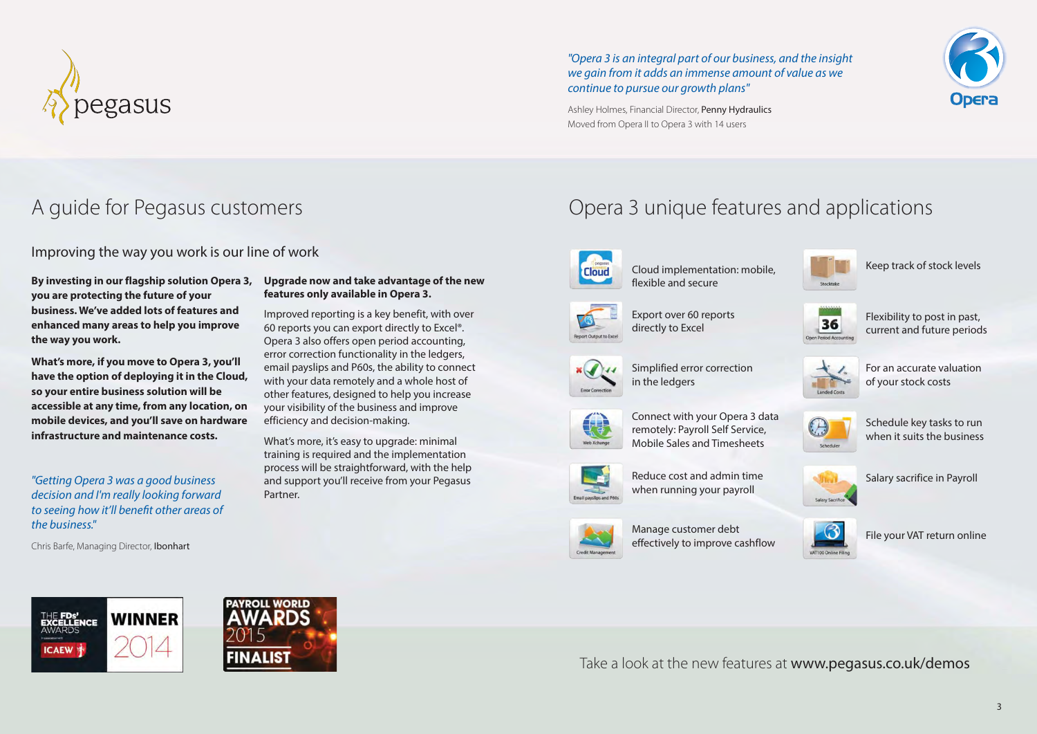

"Opera 3 is an integral part of our business, and the insight we gain from it adds an immense amount of value as we continue to pursue our growth plans"



Ashley Holmes, Financial Director, Penny Hydraulics Moved from Opera II to Opera 3 with 14 users

Improving the way you work is our line of work

**By investing in our flagship solution Opera 3, you are protecting the future of your business. We've added lots of features and enhanced many areas to help you improve the way you work.**

**What's more, if you move to Opera 3, you'll have the option of deploying it in the Cloud, so your entire business solution will be accessible at any time, from any location, on mobile devices, and you'll save on hardware infrastructure and maintenance costs.**

"Getting Opera 3 was a good business decision and I'm really looking forward to seeing how it'll benefit other areas of the business."

Chris Barfe, Managing Director, Ibonhart

#### **Upgrade now and take advantage of the new features only available in Opera 3.**

Improved reporting is a key benefit, with over 60 reports you can export directly to Excel®. Opera 3 also offers open period accounting, error correction functionality in the ledgers, email payslips and P60s, the ability to connect with your data remotely and a whole host of other features, designed to help you increase your visibility of the business and improve efficiency and decision-making.

What's more, it's easy to upgrade: minimal training is required and the implementation process will be straightforward, with the help and support you'll receive from your Pegasus Partner.





Cloud implementation: mobile, flexible and secure

Export over 60 reports directly to Excel



Keep track of stock levels



Flexibility to post in past, current and future periods



For an accurate valuation of your stock costs





Reduce cost and admin time when running your payroll

Manage customer debt effectively to improve cashflow

Simplified error correction

in the ledgers







Salary sacrifice in Payroll



File your VAT return online





Take a look at the new features at www.pegasus.co.uk/demos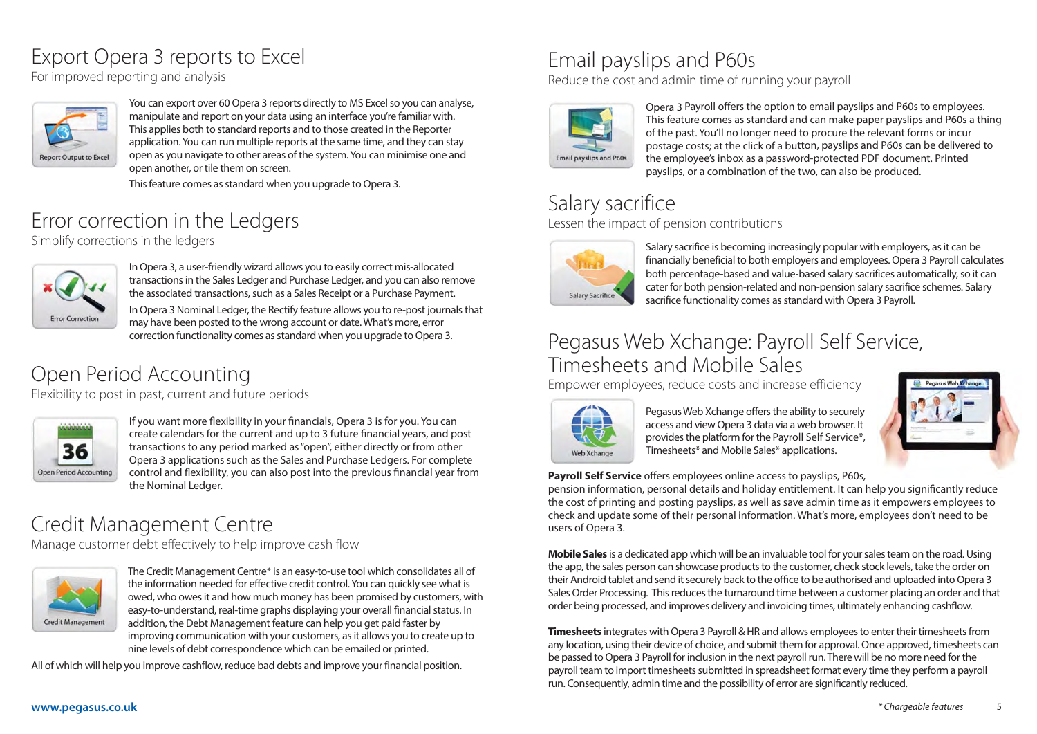#### Export Opera 3 reports to Excel

For improved reporting and analysis



You can export over 60 Opera 3 reports directly to MS Excel so you can analyse, manipulate and report on your data using an interface you're familiar with. This applies both to standard reports and to those created in the Reporter application. You can run multiple reports at the same time, and they can stay open as you navigate to other areas of the system. You can minimise one and open another, or tile them on screen.

This feature comes as standard when you upgrade to Opera 3.

# Error correction in the Ledgers

Simplify corrections in the ledgers



In Opera 3, a user-friendly wizard allows you to easily correct mis-allocated transactions in the Sales Ledger and Purchase Ledger, and you can also remove the associated transactions, such as a Sales Receipt or a Purchase Payment.

In Opera 3 Nominal Ledger, the Rectify feature allows you to re-post journals that may have been posted to the wrong account or date. What's more, error correction functionality comes as standard when you upgrade to Opera 3.

# Open Period Accounting

Flexibility to post in past, current and future periods



If you want more flexibility in your financials, Opera 3 is for you. You can create calendars for the current and up to 3 future financial years, and post transactions to any period marked as "open", either directly or from other Opera 3 applications such as the Sales and Purchase Ledgers. For complete control and flexibility, you can also post into the previous financial year from the Nominal Ledger.

### Credit Management Centre

Manage customer debt effectively to help improve cash flow



The Credit Management Centre\* is an easy-to-use tool which consolidates all of the information needed for effective credit control. You can quickly see what is owed, who owes it and how much money has been promised by customers, with easy-to-understand, real-time graphs displaying your overall financial status. In addition, the Debt Management feature can help you get paid faster by improving communication with your customers, as it allows you to create up to nine levels of debt correspondence which can be emailed or printed.

All of which will help you improve cashflow, reduce bad debts and improve your financial position.

# Email payslips and P60s

Reduce the cost and admin time of running your payroll



Opera 3 Payroll offers the option to email payslips and P60s to employees. This feature comes as standard and can make paper payslips and P60s a thing of the past. You'll no longer need to procure the relevant forms or incur postage costs; at the click of a button, payslips and P60s can be delivered to the employee's inbox as a password-protected PDF document. Printed payslips, or a combination of the two, can also be produced.

#### Salary sacrifice

Lessen the impact of pension contributions



Salary sacrifice is becoming increasingly popular with employers, as it can be financially beneficial to both employers and employees. Opera 3 Payroll calculates both percentage-based and value-based salary sacrifices automatically, so it can cater for both pension-related and non-pension salary sacrifice schemes. Salary sacrifice functionality comes as standard with Opera 3 Payroll.

#### Pegasus Web Xchange: Payroll Self Service, Timesheets and Mobile Sales

Empower employees, reduce costs and increase efficiency



Pegasus Web Xchange offers the ability to securely access and view Opera 3 data via a web browser. It provides the platform for the Payroll Self Service\*, Timesheets\* and Mobile Sales\* applications.



**Payroll Self Service** offers employees online access to payslips, P60s,

pension information, personal details and holiday entitlement. It can help you significantly reduce the cost of printing and posting payslips, as well as save admin time as it empowers employees to check and update some of their personal information. What's more, employees don't need to be users of Opera 3.

**Mobile Sales** is a dedicated app which will be an invaluable tool for your sales team on the road. Using the app, the sales person can showcase products to the customer, check stock levels, take the order on their Android tablet and send it securely back to the office to be authorised and uploaded into Opera 3 Sales Order Processing. This reduces the turnaround time between a customer placing an order and that order being processed, and improves delivery and invoicing times, ultimately enhancing cashflow.

**Timesheets** integrates with Opera 3 Payroll & HR and allows employees to enter their timesheets from any location, using their device of choice, and submit them for approval. Once approved, timesheets can be passed to Opera 3 Payroll for inclusion in the next payroll run. There will be no more need for the payroll team to import timesheets submitted in spreadsheet format every time they perform a payroll run. Consequently, admin time and the possibility of error are significantly reduced.